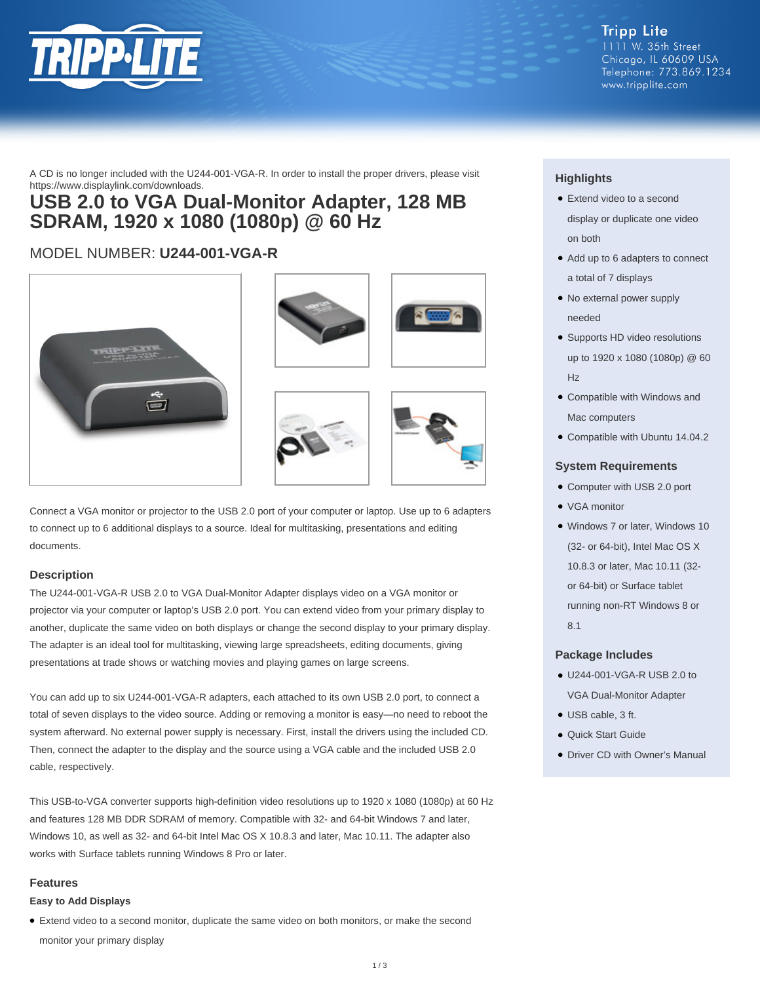

A CD is no longer included with the U244-001-VGA-R. In order to install the proper drivers, please visit https://www.displaylink.com/downloads.

## **USB 2.0 to VGA Dual-Monitor Adapter, 128 MB SDRAM, 1920 x 1080 (1080p) @ 60 Hz**

### MODEL NUMBER: **U244-001-VGA-R**









Connect a VGA monitor or projector to the USB 2.0 port of your computer or laptop. Use up to 6 adapters to connect up to 6 additional displays to a source. Ideal for multitasking, presentations and editing documents.

#### **Description**

The U244-001-VGA-R USB 2.0 to VGA Dual-Monitor Adapter displays video on a VGA monitor or projector via your computer or laptop's USB 2.0 port. You can extend video from your primary display to another, duplicate the same video on both displays or change the second display to your primary display. The adapter is an ideal tool for multitasking, viewing large spreadsheets, editing documents, giving presentations at trade shows or watching movies and playing games on large screens.

You can add up to six U244-001-VGA-R adapters, each attached to its own USB 2.0 port, to connect a total of seven displays to the video source. Adding or removing a monitor is easy—no need to reboot the system afterward. No external power supply is necessary. First, install the drivers using the included CD. Then, connect the adapter to the display and the source using a VGA cable and the included USB 2.0 cable, respectively.

This USB-to-VGA converter supports high-definition video resolutions up to 1920 x 1080 (1080p) at 60 Hz and features 128 MB DDR SDRAM of memory. Compatible with 32- and 64-bit Windows 7 and later, Windows 10, as well as 32- and 64-bit Intel Mac OS X 10.8.3 and later, Mac 10.11. The adapter also works with Surface tablets running Windows 8 Pro or later.

#### **Features**

#### **Easy to Add Displays**

● Extend video to a second monitor, duplicate the same video on both monitors, or make the second monitor your primary display

#### **Highlights**

- Extend video to a second display or duplicate one video on both
- Add up to 6 adapters to connect a total of 7 displays
- No external power supply needed
- Supports HD video resolutions up to 1920 x 1080 (1080p) @ 60 Hz
- Compatible with Windows and Mac computers
- Compatible with Ubuntu 14.04.2

#### **System Requirements**

- Computer with USB 2.0 port
- VGA monitor
- Windows 7 or later, Windows 10 (32- or 64-bit), Intel Mac OS X 10.8.3 or later, Mac 10.11 (32 or 64-bit) or Surface tablet running non-RT Windows 8 or 8.1

#### **Package Includes**

- U244-001-VGA-R USB 2.0 to VGA Dual-Monitor Adapter
- USB cable, 3 ft.
- Quick Start Guide
- Driver CD with Owner's Manual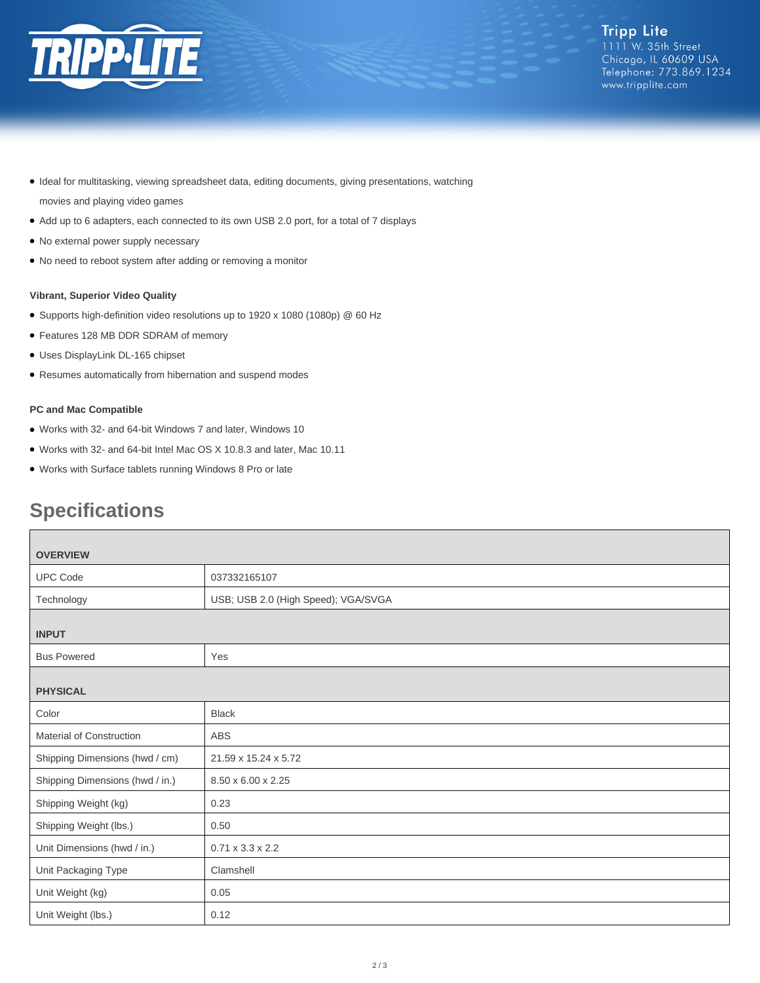

- Ideal for multitasking, viewing spreadsheet data, editing documents, giving presentations, watching movies and playing video games
- Add up to 6 adapters, each connected to its own USB 2.0 port, for a total of 7 displays
- No external power supply necessary
- No need to reboot system after adding or removing a monitor

#### **Vibrant, Superior Video Quality**

- Supports high-definition video resolutions up to 1920 x 1080 (1080p) @ 60 Hz
- Features 128 MB DDR SDRAM of memory
- Uses DisplayLink DL-165 chipset
- Resumes automatically from hibernation and suspend modes

#### **PC and Mac Compatible**

- Works with 32- and 64-bit Windows 7 and later, Windows 10
- Works with 32- and 64-bit Intel Mac OS X 10.8.3 and later, Mac 10.11
- Works with Surface tablets running Windows 8 Pro or late

# **Specifications**

| <b>OVERVIEW</b>                 |                                     |
|---------------------------------|-------------------------------------|
| <b>UPC Code</b>                 | 037332165107                        |
| Technology                      | USB; USB 2.0 (High Speed); VGA/SVGA |
| <b>INPUT</b>                    |                                     |
| <b>Bus Powered</b>              | Yes                                 |
| <b>PHYSICAL</b>                 |                                     |
| Color                           | <b>Black</b>                        |
| Material of Construction        | ABS                                 |
| Shipping Dimensions (hwd / cm)  | 21.59 x 15.24 x 5.72                |
| Shipping Dimensions (hwd / in.) | 8.50 x 6.00 x 2.25                  |
| Shipping Weight (kg)            | 0.23                                |
| Shipping Weight (lbs.)          | 0.50                                |
| Unit Dimensions (hwd / in.)     | $0.71 \times 3.3 \times 2.2$        |
| Unit Packaging Type             | Clamshell                           |
| Unit Weight (kg)                | 0.05                                |
| Unit Weight (lbs.)              | 0.12                                |